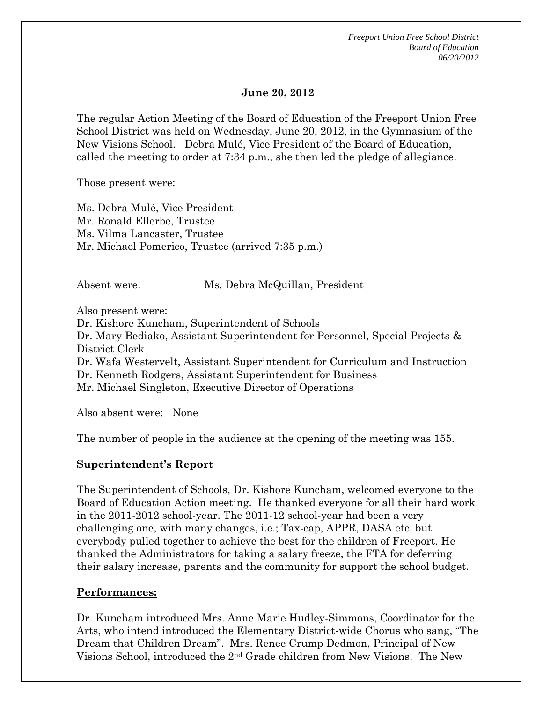*Freeport Union Free School District Board of Education 06/20/2012* 

#### **June 20, 2012**

The regular Action Meeting of the Board of Education of the Freeport Union Free School District was held on Wednesday, June 20, 2012, in the Gymnasium of the New Visions School. Debra Mulé, Vice President of the Board of Education, called the meeting to order at 7:34 p.m., she then led the pledge of allegiance.

Those present were:

Ms. Debra Mulé, Vice President Mr. Ronald Ellerbe, Trustee Ms. Vilma Lancaster, Trustee Mr. Michael Pomerico, Trustee (arrived 7:35 p.m.)

Absent were: Ms. Debra McQuillan, President

Also present were: Dr. Kishore Kuncham, Superintendent of Schools Dr. Mary Bediako, Assistant Superintendent for Personnel, Special Projects & District Clerk Dr. Wafa Westervelt, Assistant Superintendent for Curriculum and Instruction Dr. Kenneth Rodgers, Assistant Superintendent for Business Mr. Michael Singleton, Executive Director of Operations

Also absent were: None

The number of people in the audience at the opening of the meeting was 155.

#### **Superintendent's Report**

The Superintendent of Schools, Dr. Kishore Kuncham, welcomed everyone to the Board of Education Action meeting. He thanked everyone for all their hard work in the 2011-2012 school-year. The 2011-12 school-year had been a very challenging one, with many changes, i.e.; Tax-cap, APPR, DASA etc. but everybody pulled together to achieve the best for the children of Freeport. He thanked the Administrators for taking a salary freeze, the FTA for deferring their salary increase, parents and the community for support the school budget.

#### **Performances:**

Dr. Kuncham introduced Mrs. Anne Marie Hudley-Simmons, Coordinator for the Arts, who intend introduced the Elementary District-wide Chorus who sang, "The Dream that Children Dream". Mrs. Renee Crump Dedmon, Principal of New Visions School, introduced the 2nd Grade children from New Visions. The New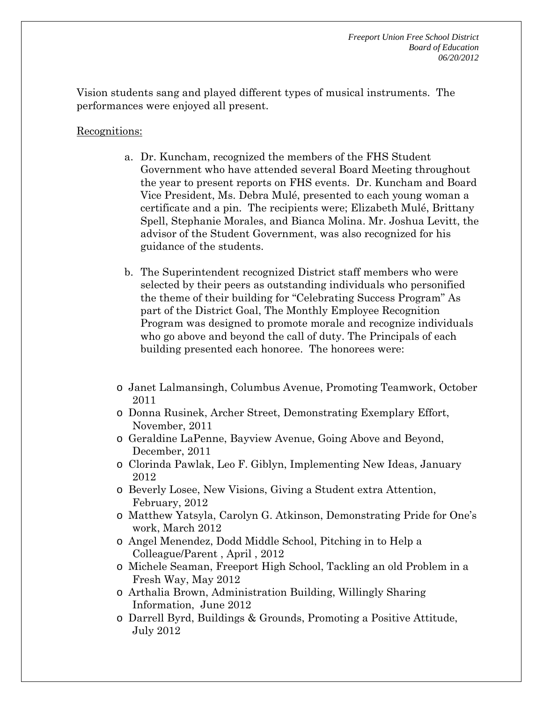Vision students sang and played different types of musical instruments. The performances were enjoyed all present.

#### Recognitions:

- a. Dr. Kuncham, recognized the members of the FHS Student Government who have attended several Board Meeting throughout the year to present reports on FHS events. Dr. Kuncham and Board Vice President, Ms. Debra Mulé, presented to each young woman a certificate and a pin. The recipients were; Elizabeth Mulé, Brittany Spell, Stephanie Morales, and Bianca Molina. Mr. Joshua Levitt, the advisor of the Student Government, was also recognized for his guidance of the students.
- b. The Superintendent recognized District staff members who were selected by their peers as outstanding individuals who personified the theme of their building for "Celebrating Success Program" As part of the District Goal, The Monthly Employee Recognition Program was designed to promote morale and recognize individuals who go above and beyond the call of duty. The Principals of each building presented each honoree. The honorees were:
- o Janet Lalmansingh, Columbus Avenue, Promoting Teamwork, October 2011
- o Donna Rusinek, Archer Street, Demonstrating Exemplary Effort, November, 2011
- o Geraldine LaPenne, Bayview Avenue, Going Above and Beyond, December, 2011
- o Clorinda Pawlak, Leo F. Giblyn, Implementing New Ideas, January 2012
- o Beverly Losee, New Visions, Giving a Student extra Attention, February, 2012
- o Matthew Yatsyla, Carolyn G. Atkinson, Demonstrating Pride for One's work, March 2012
- o Angel Menendez, Dodd Middle School, Pitching in to Help a Colleague/Parent , April , 2012
- o Michele Seaman, Freeport High School, Tackling an old Problem in a Fresh Way, May 2012
- o Arthalia Brown, Administration Building, Willingly Sharing Information, June 2012
- o Darrell Byrd, Buildings & Grounds, Promoting a Positive Attitude, July 2012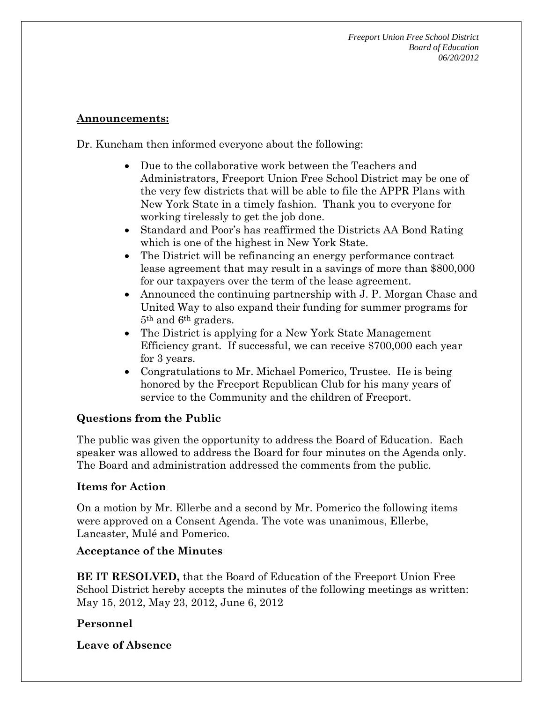*Freeport Union Free School District Board of Education 06/20/2012* 

#### **Announcements:**

Dr. Kuncham then informed everyone about the following:

- Due to the collaborative work between the Teachers and Administrators, Freeport Union Free School District may be one of the very few districts that will be able to file the APPR Plans with New York State in a timely fashion. Thank you to everyone for working tirelessly to get the job done.
- Standard and Poor's has reaffirmed the Districts AA Bond Rating which is one of the highest in New York State.
- The District will be refinancing an energy performance contract lease agreement that may result in a savings of more than \$800,000 for our taxpayers over the term of the lease agreement.
- Announced the continuing partnership with J. P. Morgan Chase and United Way to also expand their funding for summer programs for 5th and 6th graders.
- The District is applying for a New York State Management Efficiency grant. If successful, we can receive \$700,000 each year for 3 years.
- Congratulations to Mr. Michael Pomerico, Trustee. He is being honored by the Freeport Republican Club for his many years of service to the Community and the children of Freeport.

### **Questions from the Public**

The public was given the opportunity to address the Board of Education. Each speaker was allowed to address the Board for four minutes on the Agenda only. The Board and administration addressed the comments from the public.

### **Items for Action**

On a motion by Mr. Ellerbe and a second by Mr. Pomerico the following items were approved on a Consent Agenda. The vote was unanimous, Ellerbe, Lancaster, Mulé and Pomerico.

### **Acceptance of the Minutes**

**BE IT RESOLVED,** that the Board of Education of the Freeport Union Free School District hereby accepts the minutes of the following meetings as written: May 15, 2012, May 23, 2012, June 6, 2012

### **Personnel**

**Leave of Absence**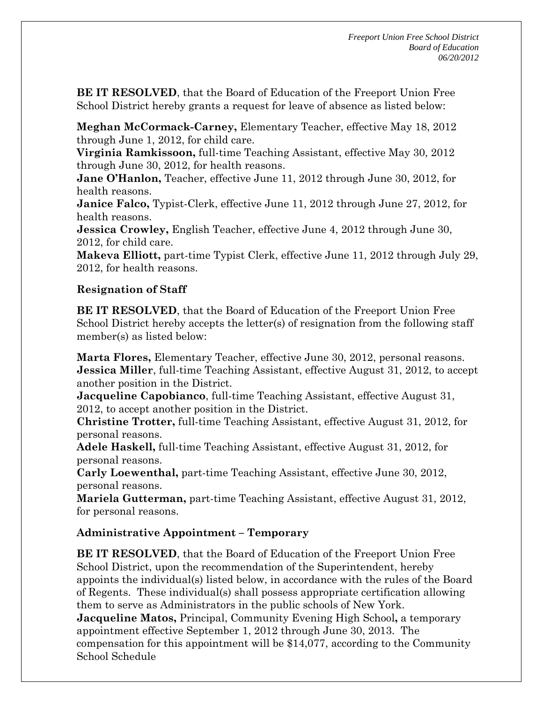**BE IT RESOLVED**, that the Board of Education of the Freeport Union Free School District hereby grants a request for leave of absence as listed below:

**Meghan McCormack-Carney,** Elementary Teacher, effective May 18, 2012 through June 1, 2012, for child care.

**Virginia Ramkissoon,** full-time Teaching Assistant, effective May 30, 2012 through June 30, 2012, for health reasons.

**Jane O'Hanlon,** Teacher, effective June 11, 2012 through June 30, 2012, for health reasons.

**Janice Falco,** Typist-Clerk, effective June 11, 2012 through June 27, 2012, for health reasons.

**Jessica Crowley, English Teacher, effective June 4, 2012 through June 30,** 2012, for child care.

**Makeva Elliott,** part-time Typist Clerk, effective June 11, 2012 through July 29, 2012, for health reasons.

# **Resignation of Staff**

**BE IT RESOLVED**, that the Board of Education of the Freeport Union Free School District hereby accepts the letter(s) of resignation from the following staff member(s) as listed below:

**Marta Flores,** Elementary Teacher, effective June 30, 2012, personal reasons. **Jessica Miller**, full-time Teaching Assistant, effective August 31, 2012, to accept another position in the District.

**Jacqueline Capobianco**, full-time Teaching Assistant, effective August 31, 2012, to accept another position in the District.

**Christine Trotter,** full-time Teaching Assistant, effective August 31, 2012, for personal reasons.

**Adele Haskell,** full-time Teaching Assistant, effective August 31, 2012, for personal reasons.

**Carly Loewenthal,** part-time Teaching Assistant, effective June 30, 2012, personal reasons.

**Mariela Gutterman,** part-time Teaching Assistant, effective August 31, 2012, for personal reasons.

# **Administrative Appointment – Temporary**

**BE IT RESOLVED**, that the Board of Education of the Freeport Union Free School District, upon the recommendation of the Superintendent, hereby appoints the individual(s) listed below, in accordance with the rules of the Board of Regents. These individual(s) shall possess appropriate certification allowing them to serve as Administrators in the public schools of New York. **Jacqueline Matos,** Principal, Community Evening High School**,** a temporary appointment effective September 1, 2012 through June 30, 2013. The

compensation for this appointment will be \$14,077, according to the Community School Schedule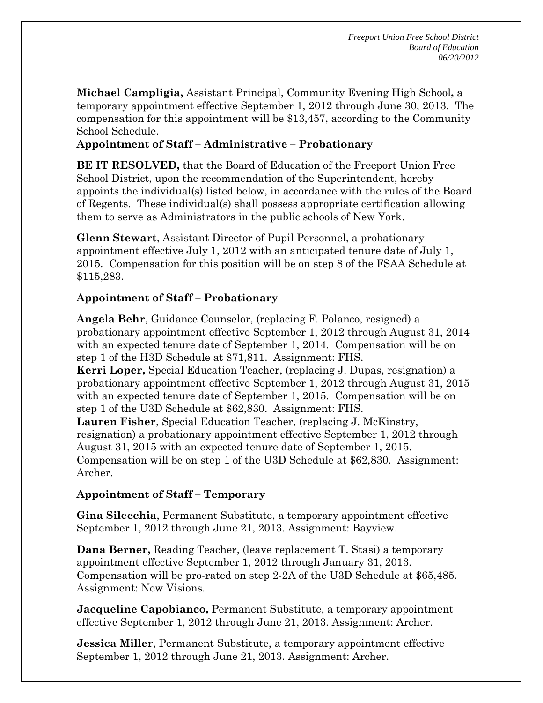**Michael Campligia,** Assistant Principal, Community Evening High School**,** a temporary appointment effective September 1, 2012 through June 30, 2013. The compensation for this appointment will be \$13,457, according to the Community School Schedule.

# **Appointment of Staff – Administrative – Probationary**

**BE IT RESOLVED,** that the Board of Education of the Freeport Union Free School District, upon the recommendation of the Superintendent, hereby appoints the individual(s) listed below, in accordance with the rules of the Board of Regents. These individual(s) shall possess appropriate certification allowing them to serve as Administrators in the public schools of New York.

**Glenn Stewart**, Assistant Director of Pupil Personnel, a probationary appointment effective July 1, 2012 with an anticipated tenure date of July 1, 2015. Compensation for this position will be on step 8 of the FSAA Schedule at \$115,283.

# **Appointment of Staff – Probationary**

**Angela Behr**, Guidance Counselor, (replacing F. Polanco, resigned) a probationary appointment effective September 1, 2012 through August 31, 2014 with an expected tenure date of September 1, 2014. Compensation will be on step 1 of the H3D Schedule at \$71,811. Assignment: FHS. **Kerri Loper,** Special Education Teacher, (replacing J. Dupas, resignation) a probationary appointment effective September 1, 2012 through August 31, 2015 with an expected tenure date of September 1, 2015. Compensation will be on step 1 of the U3D Schedule at \$62,830. Assignment: FHS. **Lauren Fisher**, Special Education Teacher, (replacing J. McKinstry, resignation) a probationary appointment effective September 1, 2012 through August 31, 2015 with an expected tenure date of September 1, 2015. Compensation will be on step 1 of the U3D Schedule at \$62,830. Assignment: Archer.

### **Appointment of Staff – Temporary**

**Gina Silecchia**, Permanent Substitute, a temporary appointment effective September 1, 2012 through June 21, 2013. Assignment: Bayview.

**Dana Berner,** Reading Teacher, (leave replacement T. Stasi) a temporary appointment effective September 1, 2012 through January 31, 2013. Compensation will be pro-rated on step 2-2A of the U3D Schedule at \$65,485. Assignment: New Visions.

**Jacqueline Capobianco,** Permanent Substitute, a temporary appointment effective September 1, 2012 through June 21, 2013. Assignment: Archer.

**Jessica Miller**, Permanent Substitute, a temporary appointment effective September 1, 2012 through June 21, 2013. Assignment: Archer.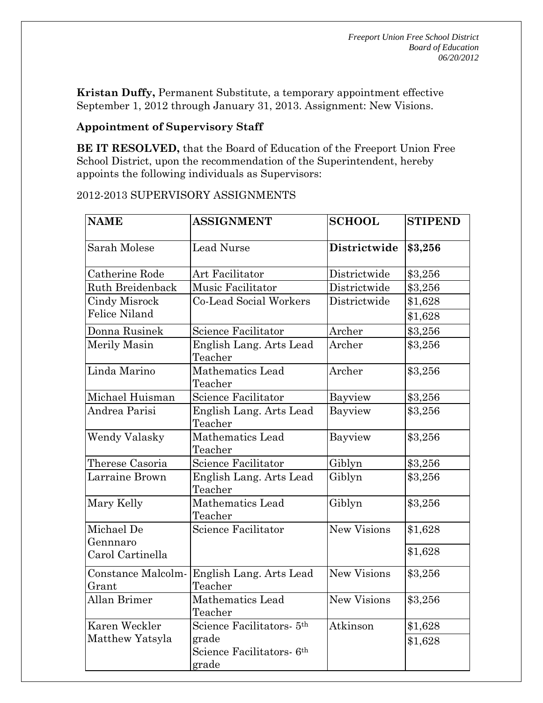**Kristan Duffy,** Permanent Substitute, a temporary appointment effective September 1, 2012 through January 31, 2013. Assignment: New Visions.

### **Appointment of Supervisory Staff**

**BE IT RESOLVED,** that the Board of Education of the Freeport Union Free School District, upon the recommendation of the Superintendent, hereby appoints the following individuals as Supervisors:

| <b>NAME</b>                 | <b>ASSIGNMENT</b>                                       | <b>SCHOOL</b>      | <b>STIPEND</b> |
|-----------------------------|---------------------------------------------------------|--------------------|----------------|
| Sarah Molese                | <b>Lead Nurse</b><br>Districtwide                       |                    | \$3,256        |
| Catherine Rode              | Art Facilitator<br>Districtwide                         |                    | \$3,256        |
| Ruth Breidenback            | Music Facilitator                                       | Districtwide       | \$3,256        |
| <b>Cindy Misrock</b>        | <b>Co-Lead Social Workers</b>                           | Districtwide       | \$1,628        |
| <b>Felice Niland</b>        |                                                         |                    | \$1,628        |
| Donna Rusinek               | Science Facilitator                                     | Archer             | \$3,256        |
| Merily Masin                | English Lang. Arts Lead<br>Teacher                      | Archer             | \$3,256        |
| Linda Marino                | Mathematics Lead<br>Teacher                             | Archer             | \$3,256        |
| Michael Huisman             | Science Facilitator<br>Bayview                          |                    | \$3,256        |
| Andrea Parisi               | English Lang. Arts Lead<br>Teacher                      | Bayview            | \$3,256        |
| Wendy Valasky               | Mathematics Lead<br>Teacher                             | Bayview            | \$3,256        |
| Therese Casoria             | Science Facilitator                                     | Giblyn             | \$3,256        |
| Larraine Brown              | English Lang. Arts Lead<br>Teacher                      | Giblyn             | \$3,256        |
| Mary Kelly                  | Mathematics Lead<br>Giblyn<br>Teacher                   |                    | \$3,256        |
| Michael De<br>Gennnaro      | Science Facilitator                                     | <b>New Visions</b> | \$1,628        |
| Carol Cartinella            |                                                         |                    | \$1,628        |
| Constance Malcolm-<br>Grant | English Lang. Arts Lead<br>Teacher                      | New Visions        | \$3,256        |
| <b>Allan Brimer</b>         | Mathematics Lead<br>Teacher                             | <b>New Visions</b> | \$3,256        |
| Karen Weckler               | Science Facilitators- 5 <sup>th</sup>                   | Atkinson           | \$1,628        |
| Matthew Yatsyla             | grade<br>Science Facilitators- 6 <sup>th</sup><br>grade |                    | \$1,628        |

### 2012-2013 SUPERVISORY ASSIGNMENTS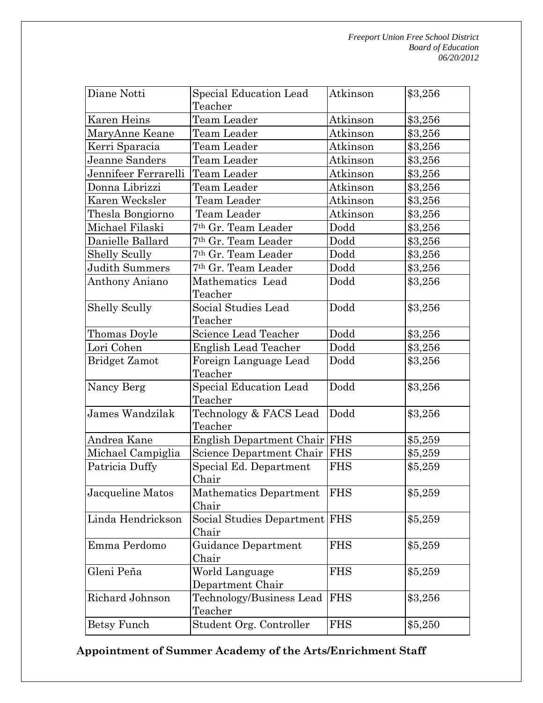| Diane Notti          | Special Education Lead           | Atkinson   | \$3,256 |
|----------------------|----------------------------------|------------|---------|
|                      | Teacher                          |            |         |
| Karen Heins          | Team Leader                      | Atkinson   | \$3,256 |
| MaryAnne Keane       | Team Leader                      | Atkinson   | \$3,256 |
| Kerri Sparacia       | Team Leader                      | Atkinson   | \$3,256 |
| Jeanne Sanders       | Team Leader                      | Atkinson   | \$3,256 |
| Jennifeer Ferrarelli | Team Leader                      | Atkinson   | \$3,256 |
| Donna Librizzi       | Team Leader                      | Atkinson   | \$3,256 |
| Karen Wecksler       | Team Leader                      | Atkinson   | \$3,256 |
| Thesla Bongiorno     | Team Leader                      | Atkinson   | \$3,256 |
| Michael Filaski      | 7 <sup>th</sup> Gr. Team Leader  | Dodd       | \$3,256 |
| Danielle Ballard     | <sup>7th</sup> Gr. Team Leader   | Dodd       | \$3,256 |
| <b>Shelly Scully</b> | <sup>7th</sup> Gr. Team Leader   | Dodd       | \$3,256 |
| Judith Summers       | 7th Gr. Team Leader              | Dodd       | \$3,256 |
| Anthony Aniano       | Mathematics Lead                 | Dodd       | \$3,256 |
|                      | Teacher                          |            |         |
| <b>Shelly Scully</b> | Social Studies Lead              | Dodd       | \$3,256 |
|                      | Teacher                          |            |         |
| Thomas Doyle         | Science Lead Teacher             | Dodd       | \$3,256 |
| Lori Cohen           | <b>English Lead Teacher</b>      | Dodd       | \$3,256 |
| <b>Bridget Zamot</b> | Foreign Language Lead<br>Teacher | Dodd       | \$3,256 |
| Nancy Berg           | Special Education Lead           | Dodd       | \$3,256 |
|                      | Teacher                          |            |         |
| James Wandzilak      | Technology & FACS Lead           | Dodd       | \$3,256 |
|                      | Teacher                          |            |         |
| Andrea Kane          | English Department Chair FHS     |            | \$5,259 |
| Michael Campiglia    | Science Department Chair         | <b>FHS</b> | \$5,259 |
| Patricia Duffy       | Special Ed. Department           | <b>FHS</b> | \$5,259 |
|                      | Chair                            |            |         |
| Jacqueline Matos     | Mathematics Department           | <b>FHS</b> | \$5,259 |
|                      | Chair                            |            |         |
| Linda Hendrickson    | Social Studies Department FHS    |            | \$5,259 |
|                      | Chair                            |            |         |
| Emma Perdomo         | Guidance Department<br>Chair     | <b>FHS</b> | \$5,259 |
| Gleni Peña           | World Language                   | <b>FHS</b> | \$5,259 |
|                      | Department Chair                 |            |         |
| Richard Johnson      | Technology/Business Lead         | <b>FHS</b> | \$3,256 |
|                      | Teacher                          |            |         |
| Betsy Funch          | Student Org. Controller          | <b>FHS</b> | \$5,250 |

# **Appointment of Summer Academy of the Arts/Enrichment Staff**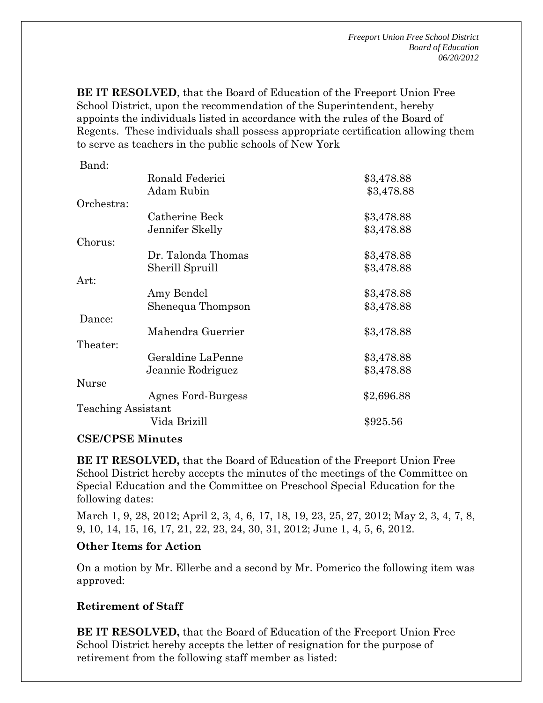**BE IT RESOLVED**, that the Board of Education of the Freeport Union Free School District, upon the recommendation of the Superintendent, hereby appoints the individuals listed in accordance with the rules of the Board of Regents. These individuals shall possess appropriate certification allowing them to serve as teachers in the public schools of New York

| Ronald Federici           | \$3,478.88 |
|---------------------------|------------|
| Adam Rubin                | \$3,478.88 |
|                           |            |
| Catherine Beck            | \$3,478.88 |
| Jennifer Skelly           | \$3,478.88 |
|                           |            |
| Dr. Talonda Thomas        | \$3,478.88 |
| Sherill Spruill           | \$3,478.88 |
|                           |            |
| Amy Bendel                | \$3,478.88 |
| Shenequa Thompson         | \$3,478.88 |
|                           |            |
| Mahendra Guerrier         | \$3,478.88 |
|                           |            |
| Geraldine LaPenne         | \$3,478.88 |
| Jeannie Rodriguez         | \$3,478.88 |
|                           |            |
| Agnes Ford-Burgess        | \$2,696.88 |
| <b>Teaching Assistant</b> |            |
| Vida Brizill              | \$925.56   |
|                           |            |

#### **CSE/CPSE Minutes**

**BE IT RESOLVED,** that the Board of Education of the Freeport Union Free School District hereby accepts the minutes of the meetings of the Committee on Special Education and the Committee on Preschool Special Education for the following dates:

March 1, 9, 28, 2012; April 2, 3, 4, 6, 17, 18, 19, 23, 25, 27, 2012; May 2, 3, 4, 7, 8, 9, 10, 14, 15, 16, 17, 21, 22, 23, 24, 30, 31, 2012; June 1, 4, 5, 6, 2012.

### **Other Items for Action**

On a motion by Mr. Ellerbe and a second by Mr. Pomerico the following item was approved:

### **Retirement of Staff**

**BE IT RESOLVED,** that the Board of Education of the Freeport Union Free School District hereby accepts the letter of resignation for the purpose of retirement from the following staff member as listed: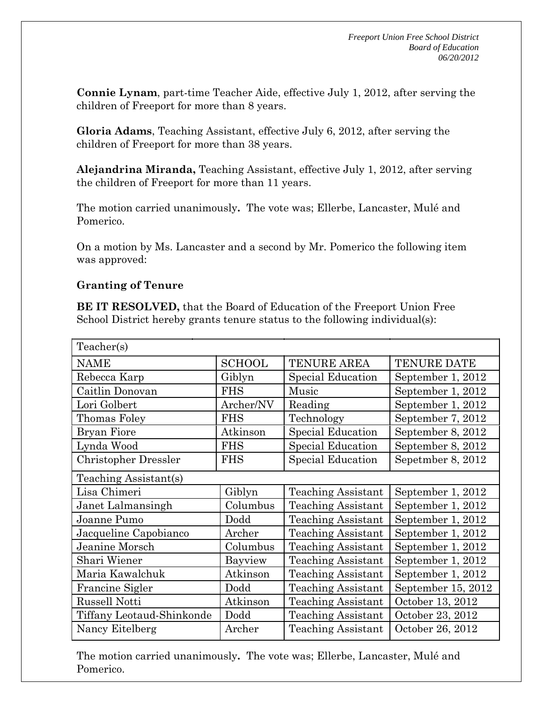**Connie Lynam**, part-time Teacher Aide, effective July 1, 2012, after serving the children of Freeport for more than 8 years.

**Gloria Adams**, Teaching Assistant, effective July 6, 2012, after serving the children of Freeport for more than 38 years.

**Alejandrina Miranda,** Teaching Assistant, effective July 1, 2012, after serving the children of Freeport for more than 11 years.

The motion carried unanimously**.** The vote was; Ellerbe, Lancaster, Mulé and Pomerico.

On a motion by Ms. Lancaster and a second by Mr. Pomerico the following item was approved:

### **Granting of Tenure**

**BE IT RESOLVED,** that the Board of Education of the Freeport Union Free School District hereby grants tenure status to the following individual(s):

| Teacher(s)                  |               |                           |                    |  |  |
|-----------------------------|---------------|---------------------------|--------------------|--|--|
| <b>NAME</b>                 | <b>SCHOOL</b> | <b>TENURE AREA</b>        | <b>TENURE DATE</b> |  |  |
| Rebecca Karp                | Giblyn        | Special Education         | September 1, 2012  |  |  |
| Caitlin Donovan             | <b>FHS</b>    | Music                     | September 1, 2012  |  |  |
| Lori Golbert                | Archer/NV     | Reading                   | September 1, 2012  |  |  |
| Thomas Foley                | <b>FHS</b>    | Technology                | September 7, 2012  |  |  |
| <b>Bryan Fiore</b>          | Atkinson      | Special Education         | September 8, 2012  |  |  |
| Lynda Wood                  | <b>FHS</b>    | Special Education         | September 8, 2012  |  |  |
| <b>Christopher Dressler</b> | <b>FHS</b>    | Special Education         | Sepetmber 8, 2012  |  |  |
| Teaching Assistant(s)       |               |                           |                    |  |  |
| Lisa Chimeri                | Giblyn        | <b>Teaching Assistant</b> | September 1, 2012  |  |  |
| Janet Lalmansingh           | Columbus      | <b>Teaching Assistant</b> | September 1, 2012  |  |  |
| Joanne Pumo                 | Dodd          | <b>Teaching Assistant</b> | September 1, 2012  |  |  |
| Jacqueline Capobianco       | Archer        | <b>Teaching Assistant</b> | September 1, 2012  |  |  |
| Jeanine Morsch              | Columbus      | <b>Teaching Assistant</b> | September 1, 2012  |  |  |
| Shari Wiener                | Bayview       | <b>Teaching Assistant</b> | September 1, 2012  |  |  |
| Maria Kawalchuk             | Atkinson      | <b>Teaching Assistant</b> | September 1, 2012  |  |  |
| <b>Francine Sigler</b>      | Dodd          | <b>Teaching Assistant</b> | September 15, 2012 |  |  |
| <b>Russell Notti</b>        | Atkinson      | <b>Teaching Assistant</b> | October 13, 2012   |  |  |
| Tiffany Leotaud-Shinkonde   | Dodd          | Teaching Assistant        | October 23, 2012   |  |  |
| Nancy Eitelberg             | Archer        | <b>Teaching Assistant</b> | October 26, 2012   |  |  |

The motion carried unanimously**.** The vote was; Ellerbe, Lancaster, Mulé and Pomerico.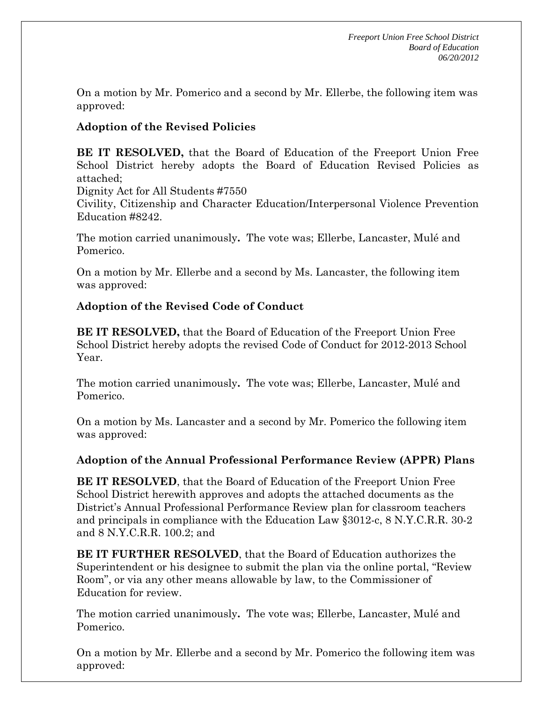On a motion by Mr. Pomerico and a second by Mr. Ellerbe, the following item was approved:

# **Adoption of the Revised Policies**

**BE IT RESOLVED,** that the Board of Education of the Freeport Union Free School District hereby adopts the Board of Education Revised Policies as attached;

Dignity Act for All Students #7550

Civility, Citizenship and Character Education/Interpersonal Violence Prevention Education #8242.

The motion carried unanimously**.** The vote was; Ellerbe, Lancaster, Mulé and Pomerico.

On a motion by Mr. Ellerbe and a second by Ms. Lancaster, the following item was approved:

# **Adoption of the Revised Code of Conduct**

**BE IT RESOLVED,** that the Board of Education of the Freeport Union Free School District hereby adopts the revised Code of Conduct for 2012-2013 School Year.

The motion carried unanimously**.** The vote was; Ellerbe, Lancaster, Mulé and Pomerico.

On a motion by Ms. Lancaster and a second by Mr. Pomerico the following item was approved:

# **Adoption of the Annual Professional Performance Review (APPR) Plans**

**BE IT RESOLVED**, that the Board of Education of the Freeport Union Free School District herewith approves and adopts the attached documents as the District's Annual Professional Performance Review plan for classroom teachers and principals in compliance with the Education Law §3012-c, 8 N.Y.C.R.R. 30-2 and 8 N.Y.C.R.R. 100.2; and

**BE IT FURTHER RESOLVED**, that the Board of Education authorizes the Superintendent or his designee to submit the plan via the online portal, "Review Room", or via any other means allowable by law, to the Commissioner of Education for review.

The motion carried unanimously**.** The vote was; Ellerbe, Lancaster, Mulé and Pomerico.

On a motion by Mr. Ellerbe and a second by Mr. Pomerico the following item was approved: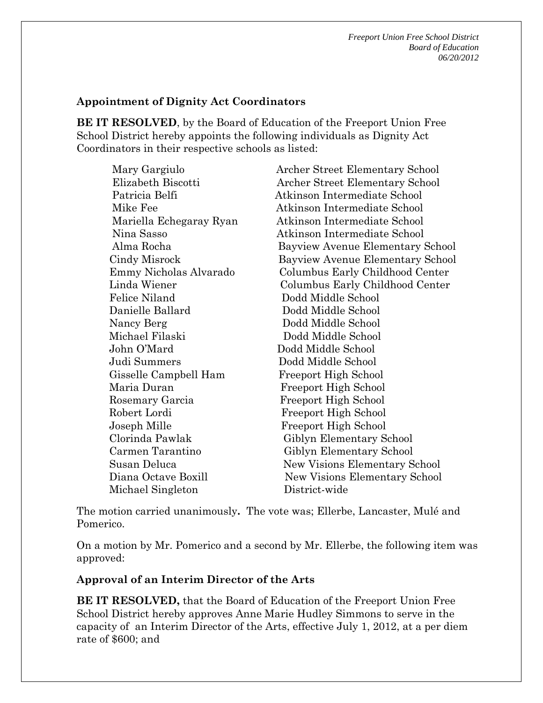*Freeport Union Free School District Board of Education 06/20/2012* 

#### **Appointment of Dignity Act Coordinators**

**BE IT RESOLVED**, by the Board of Education of the Freeport Union Free School District hereby appoints the following individuals as Dignity Act Coordinators in their respective schools as listed:

 Mary Gargiulo Archer Street Elementary School Elizabeth Biscotti Archer Street Elementary School Patricia Belfi Atkinson Intermediate School Mike Fee **Atkinson** Intermediate School Mariella Echegaray Ryan Atkinson Intermediate School Nina Sasso Atkinson Intermediate School Alma Rocha Bayview Avenue Elementary School Cindy Misrock Bayview Avenue Elementary School Emmy Nicholas Alvarado Columbus Early Childhood Center Linda Wiener Columbus Early Childhood Center Felice Niland Dodd Middle School Danielle Ballard Dodd Middle School Nancy Berg Dodd Middle School Michael Filaski Dodd Middle School John O'Mard Dodd Middle School Judi Summers Dodd Middle School Gisselle Campbell Ham Freeport High School Maria Duran Freeport High School Rosemary Garcia Freeport High School Robert Lordi Freeport High School Joseph Mille Freeport High School Clorinda Pawlak Giblyn Elementary School Carmen Tarantino Giblyn Elementary School Susan Deluca New Visions Elementary School Diana Octave Boxill New Visions Elementary School Michael Singleton District-wide

The motion carried unanimously**.** The vote was; Ellerbe, Lancaster, Mulé and Pomerico.

On a motion by Mr. Pomerico and a second by Mr. Ellerbe, the following item was approved:

#### **Approval of an Interim Director of the Arts**

**BE IT RESOLVED,** that the Board of Education of the Freeport Union Free School District hereby approves Anne Marie Hudley Simmons to serve in the capacity of an Interim Director of the Arts, effective July 1, 2012, at a per diem rate of \$600; and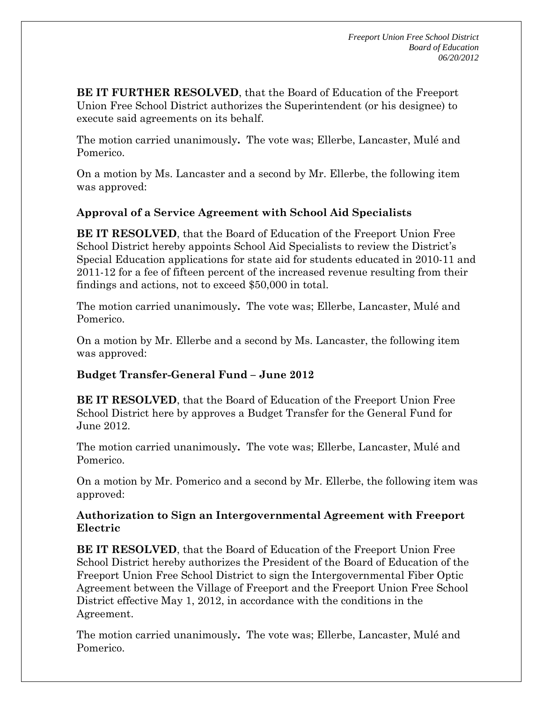**BE IT FURTHER RESOLVED**, that the Board of Education of the Freeport Union Free School District authorizes the Superintendent (or his designee) to execute said agreements on its behalf.

The motion carried unanimously**.** The vote was; Ellerbe, Lancaster, Mulé and Pomerico.

On a motion by Ms. Lancaster and a second by Mr. Ellerbe, the following item was approved:

# **Approval of a Service Agreement with School Aid Specialists**

**BE IT RESOLVED**, that the Board of Education of the Freeport Union Free School District hereby appoints School Aid Specialists to review the District's Special Education applications for state aid for students educated in 2010-11 and 2011-12 for a fee of fifteen percent of the increased revenue resulting from their findings and actions, not to exceed \$50,000 in total.

The motion carried unanimously**.** The vote was; Ellerbe, Lancaster, Mulé and Pomerico.

On a motion by Mr. Ellerbe and a second by Ms. Lancaster, the following item was approved:

# **Budget Transfer-General Fund – June 2012**

**BE IT RESOLVED**, that the Board of Education of the Freeport Union Free School District here by approves a Budget Transfer for the General Fund for June 2012.

The motion carried unanimously**.** The vote was; Ellerbe, Lancaster, Mulé and Pomerico.

On a motion by Mr. Pomerico and a second by Mr. Ellerbe, the following item was approved:

#### **Authorization to Sign an Intergovernmental Agreement with Freeport Electric**

**BE IT RESOLVED**, that the Board of Education of the Freeport Union Free School District hereby authorizes the President of the Board of Education of the Freeport Union Free School District to sign the Intergovernmental Fiber Optic Agreement between the Village of Freeport and the Freeport Union Free School District effective May 1, 2012, in accordance with the conditions in the Agreement.

The motion carried unanimously**.** The vote was; Ellerbe, Lancaster, Mulé and Pomerico.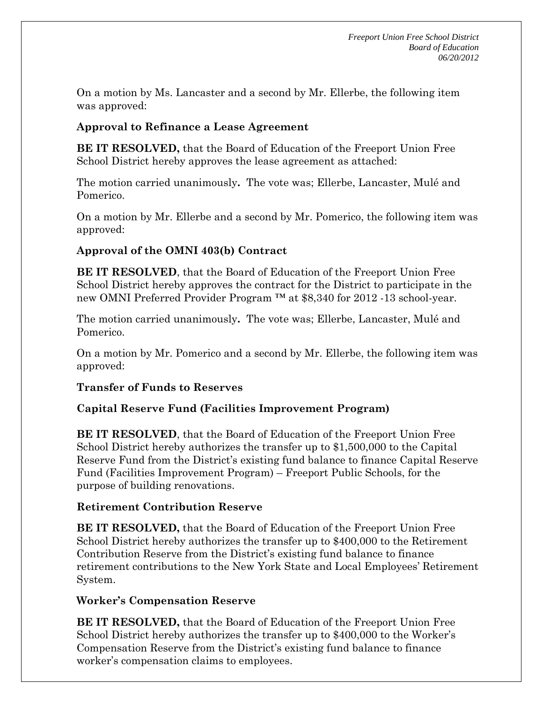On a motion by Ms. Lancaster and a second by Mr. Ellerbe, the following item was approved:

# **Approval to Refinance a Lease Agreement**

**BE IT RESOLVED,** that the Board of Education of the Freeport Union Free School District hereby approves the lease agreement as attached:

The motion carried unanimously**.** The vote was; Ellerbe, Lancaster, Mulé and Pomerico.

On a motion by Mr. Ellerbe and a second by Mr. Pomerico, the following item was approved:

# **Approval of the OMNI 403(b) Contract**

**BE IT RESOLVED**, that the Board of Education of the Freeport Union Free School District hereby approves the contract for the District to participate in the new OMNI Preferred Provider Program ™ at \$8,340 for 2012 -13 school-year.

The motion carried unanimously**.** The vote was; Ellerbe, Lancaster, Mulé and Pomerico.

On a motion by Mr. Pomerico and a second by Mr. Ellerbe, the following item was approved:

# **Transfer of Funds to Reserves**

# **Capital Reserve Fund (Facilities Improvement Program)**

**BE IT RESOLVED**, that the Board of Education of the Freeport Union Free School District hereby authorizes the transfer up to \$1,500,000 to the Capital Reserve Fund from the District's existing fund balance to finance Capital Reserve Fund (Facilities Improvement Program) – Freeport Public Schools, for the purpose of building renovations.

# **Retirement Contribution Reserve**

**BE IT RESOLVED,** that the Board of Education of the Freeport Union Free School District hereby authorizes the transfer up to \$400,000 to the Retirement Contribution Reserve from the District's existing fund balance to finance retirement contributions to the New York State and Local Employees' Retirement System.

# **Worker's Compensation Reserve**

**BE IT RESOLVED,** that the Board of Education of the Freeport Union Free School District hereby authorizes the transfer up to \$400,000 to the Worker's Compensation Reserve from the District's existing fund balance to finance worker's compensation claims to employees.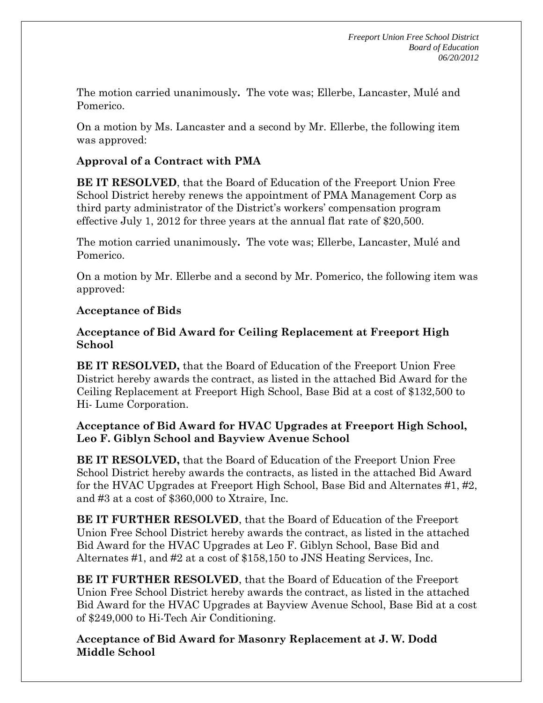The motion carried unanimously**.** The vote was; Ellerbe, Lancaster, Mulé and Pomerico.

On a motion by Ms. Lancaster and a second by Mr. Ellerbe, the following item was approved:

# **Approval of a Contract with PMA**

**BE IT RESOLVED**, that the Board of Education of the Freeport Union Free School District hereby renews the appointment of PMA Management Corp as third party administrator of the District's workers' compensation program effective July 1, 2012 for three years at the annual flat rate of \$20,500.

The motion carried unanimously**.** The vote was; Ellerbe, Lancaster, Mulé and Pomerico.

On a motion by Mr. Ellerbe and a second by Mr. Pomerico, the following item was approved:

# **Acceptance of Bids**

# **Acceptance of Bid Award for Ceiling Replacement at Freeport High School**

**BE IT RESOLVED,** that the Board of Education of the Freeport Union Free District hereby awards the contract, as listed in the attached Bid Award for the Ceiling Replacement at Freeport High School, Base Bid at a cost of \$132,500 to Hi- Lume Corporation.

### **Acceptance of Bid Award for HVAC Upgrades at Freeport High School, Leo F. Giblyn School and Bayview Avenue School**

**BE IT RESOLVED,** that the Board of Education of the Freeport Union Free School District hereby awards the contracts, as listed in the attached Bid Award for the HVAC Upgrades at Freeport High School, Base Bid and Alternates #1, #2, and #3 at a cost of \$360,000 to Xtraire, Inc.

**BE IT FURTHER RESOLVED**, that the Board of Education of the Freeport Union Free School District hereby awards the contract, as listed in the attached Bid Award for the HVAC Upgrades at Leo F. Giblyn School, Base Bid and Alternates #1, and #2 at a cost of \$158,150 to JNS Heating Services, Inc.

**BE IT FURTHER RESOLVED**, that the Board of Education of the Freeport Union Free School District hereby awards the contract, as listed in the attached Bid Award for the HVAC Upgrades at Bayview Avenue School, Base Bid at a cost of \$249,000 to Hi-Tech Air Conditioning.

**Acceptance of Bid Award for Masonry Replacement at J. W. Dodd Middle School**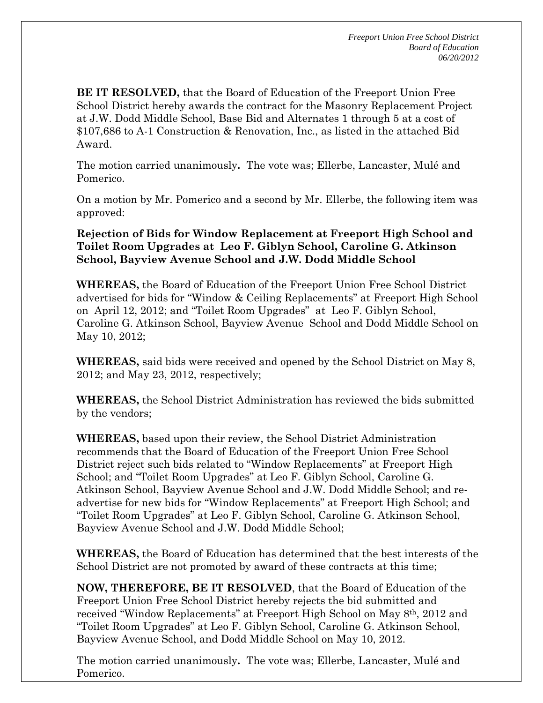**BE IT RESOLVED,** that the Board of Education of the Freeport Union Free School District hereby awards the contract for the Masonry Replacement Project at J.W. Dodd Middle School, Base Bid and Alternates 1 through 5 at a cost of \$107,686 to A-1 Construction & Renovation, Inc., as listed in the attached Bid Award.

The motion carried unanimously**.** The vote was; Ellerbe, Lancaster, Mulé and Pomerico.

On a motion by Mr. Pomerico and a second by Mr. Ellerbe, the following item was approved:

**Rejection of Bids for Window Replacement at Freeport High School and Toilet Room Upgrades at Leo F. Giblyn School, Caroline G. Atkinson School, Bayview Avenue School and J.W. Dodd Middle School** 

**WHEREAS,** the Board of Education of the Freeport Union Free School District advertised for bids for "Window & Ceiling Replacements" at Freeport High School on April 12, 2012; and "Toilet Room Upgrades" at Leo F. Giblyn School, Caroline G. Atkinson School, Bayview Avenue School and Dodd Middle School on May 10, 2012;

**WHEREAS,** said bids were received and opened by the School District on May 8, 2012; and May 23, 2012, respectively;

**WHEREAS,** the School District Administration has reviewed the bids submitted by the vendors;

**WHEREAS,** based upon their review, the School District Administration recommends that the Board of Education of the Freeport Union Free School District reject such bids related to "Window Replacements" at Freeport High School; and "Toilet Room Upgrades" at Leo F. Giblyn School, Caroline G. Atkinson School, Bayview Avenue School and J.W. Dodd Middle School; and readvertise for new bids for "Window Replacements" at Freeport High School; and "Toilet Room Upgrades" at Leo F. Giblyn School, Caroline G. Atkinson School, Bayview Avenue School and J.W. Dodd Middle School;

**WHEREAS,** the Board of Education has determined that the best interests of the School District are not promoted by award of these contracts at this time;

**NOW, THEREFORE, BE IT RESOLVED**, that the Board of Education of the Freeport Union Free School District hereby rejects the bid submitted and received "Window Replacements" at Freeport High School on May 8th, 2012 and "Toilet Room Upgrades" at Leo F. Giblyn School, Caroline G. Atkinson School, Bayview Avenue School, and Dodd Middle School on May 10, 2012.

The motion carried unanimously**.** The vote was; Ellerbe, Lancaster, Mulé and Pomerico.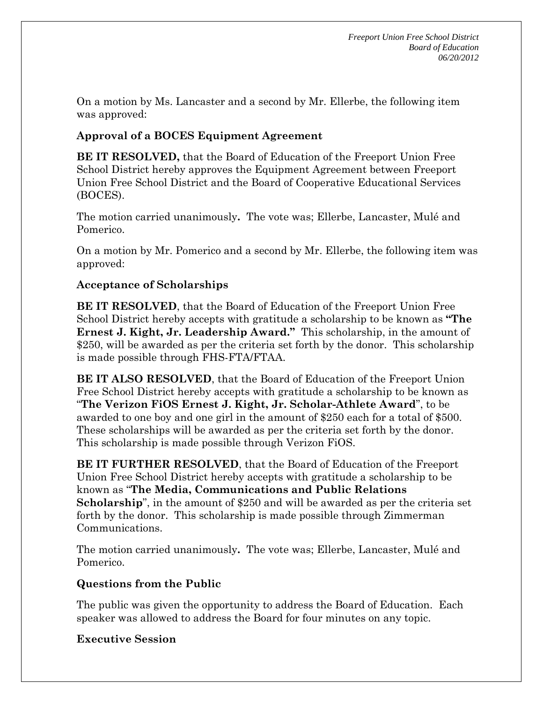On a motion by Ms. Lancaster and a second by Mr. Ellerbe, the following item was approved:

# **Approval of a BOCES Equipment Agreement**

**BE IT RESOLVED,** that the Board of Education of the Freeport Union Free School District hereby approves the Equipment Agreement between Freeport Union Free School District and the Board of Cooperative Educational Services (BOCES).

The motion carried unanimously**.** The vote was; Ellerbe, Lancaster, Mulé and Pomerico.

On a motion by Mr. Pomerico and a second by Mr. Ellerbe, the following item was approved:

### **Acceptance of Scholarships**

**BE IT RESOLVED**, that the Board of Education of the Freeport Union Free School District hereby accepts with gratitude a scholarship to be known as **"The Ernest J. Kight, Jr. Leadership Award."** This scholarship, in the amount of \$250, will be awarded as per the criteria set forth by the donor. This scholarship is made possible through FHS-FTA/FTAA.

**BE IT ALSO RESOLVED**, that the Board of Education of the Freeport Union Free School District hereby accepts with gratitude a scholarship to be known as "**The Verizon FiOS Ernest J. Kight, Jr. Scholar-Athlete Award**", to be awarded to one boy and one girl in the amount of \$250 each for a total of \$500. These scholarships will be awarded as per the criteria set forth by the donor. This scholarship is made possible through Verizon FiOS.

**BE IT FURTHER RESOLVED**, that the Board of Education of the Freeport Union Free School District hereby accepts with gratitude a scholarship to be known as "**The Media, Communications and Public Relations Scholarship**", in the amount of \$250 and will be awarded as per the criteria set forth by the donor. This scholarship is made possible through Zimmerman Communications.

The motion carried unanimously**.** The vote was; Ellerbe, Lancaster, Mulé and Pomerico.

### **Questions from the Public**

The public was given the opportunity to address the Board of Education. Each speaker was allowed to address the Board for four minutes on any topic.

# **Executive Session**